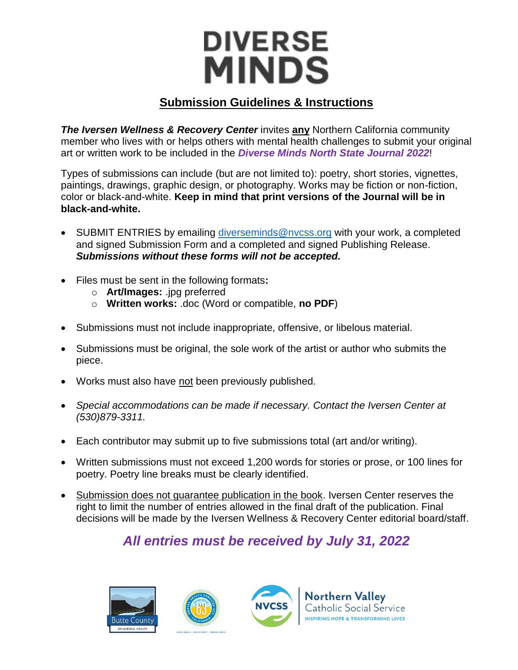# **DIVERSE MINDS**

#### **Submission Guidelines & Instructions**

**The Iversen Wellness & Recovery Center** invites any Northern California community member who lives with or helps others with mental health challenges to submit your original art or written work to be included in the *Diverse Minds North State Journal 2022*!

Types of submissions can include (but are not limited to): poetry, short stories, vignettes, paintings, drawings, graphic design, or photography. Works may be fiction or non-fiction, color or black-and-white. **Keep in mind that print versions of the Journal will be in black-and-white.**

- SUBMIT ENTRIES by emailing [diverseminds@nvcss.org](mailto:diverseminds@nvcss.org) with your work, a completed and signed Submission Form and a completed and signed Publishing Release. *Submissions without these forms will not be accepted.*
- Files must be sent in the following formats**:**
	- o **Art/Images:** .jpg preferred
	- o **Written works:** .doc (Word or compatible, **no PDF**)
- Submissions must not include inappropriate, offensive, or libelous material.
- Submissions must be original, the sole work of the artist or author who submits the piece.
- Works must also have not been previously published.
- *Special accommodations can be made if necessary. Contact the Iversen Center at (530)879-3311.*
- Each contributor may submit up to five submissions total (art and/or writing).
- Written submissions must not exceed 1,200 words for stories or prose, or 100 lines for poetry. Poetry line breaks must be clearly identified.
- Submission does not guarantee publication in the book. Iversen Center reserves the right to limit the number of entries allowed in the final draft of the publication. Final decisions will be made by the Iversen Wellness & Recovery Center editorial board/staff.

# *All entries must be received by July 31, 2022*





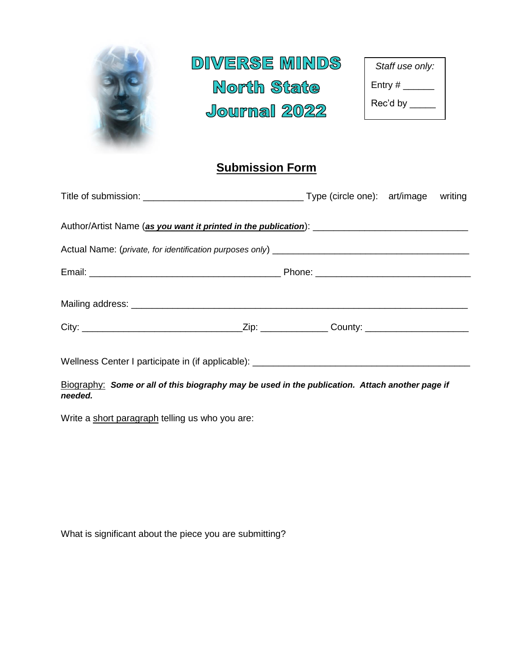

#### **Submission Form**

| Wellness Center I participate in (if applicable): _______________________________ |  |  |
|-----------------------------------------------------------------------------------|--|--|

Biography: *Some or all of this biography may be used in the publication. Attach another page if needed.*

Write a short paragraph telling us who you are:

What is significant about the piece you are submitting?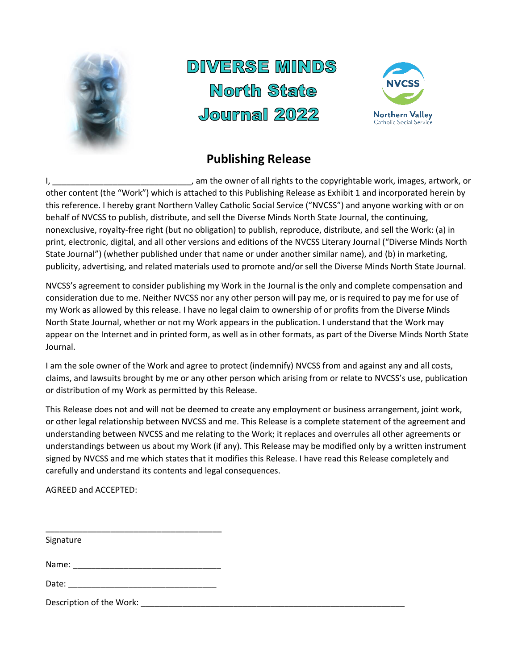

# DIVERSE MINDS North State  $J$ ourmal  $2022$



### **Publishing Release**

I, \_\_\_\_\_\_\_\_\_\_\_\_\_\_\_\_\_\_\_\_\_\_\_\_\_\_\_\_\_\_, am the owner of all rights to the copyrightable work, images, artwork, or other content (the "Work") which is attached to this Publishing Release as Exhibit 1 and incorporated herein by this reference. I hereby grant Northern Valley Catholic Social Service ("NVCSS") and anyone working with or on behalf of NVCSS to publish, distribute, and sell the Diverse Minds North State Journal, the continuing, nonexclusive, royalty-free right (but no obligation) to publish, reproduce, distribute, and sell the Work: (a) in print, electronic, digital, and all other versions and editions of the NVCSS Literary Journal ("Diverse Minds North State Journal") (whether published under that name or under another similar name), and (b) in marketing, publicity, advertising, and related materials used to promote and/or sell the Diverse Minds North State Journal.

NVCSS's agreement to consider publishing my Work in the Journal is the only and complete compensation and consideration due to me. Neither NVCSS nor any other person will pay me, or is required to pay me for use of my Work as allowed by this release. I have no legal claim to ownership of or profits from the Diverse Minds North State Journal, whether or not my Work appears in the publication. I understand that the Work may appear on the Internet and in printed form, as well as in other formats, as part of the Diverse Minds North State Journal.

I am the sole owner of the Work and agree to protect (indemnify) NVCSS from and against any and all costs, claims, and lawsuits brought by me or any other person which arising from or relate to NVCSS's use, publication or distribution of my Work as permitted by this Release.

This Release does not and will not be deemed to create any employment or business arrangement, joint work, or other legal relationship between NVCSS and me. This Release is a complete statement of the agreement and understanding between NVCSS and me relating to the Work; it replaces and overrules all other agreements or understandings between us about my Work (if any). This Release may be modified only by a written instrument signed by NVCSS and me which states that it modifies this Release. I have read this Release completely and carefully and understand its contents and legal consequences.

AGREED and ACCEPTED:

| Signature                                                          |
|--------------------------------------------------------------------|
|                                                                    |
|                                                                    |
| Date:<br><u> 1980 - Jan Berlin, Amerikaansk politiker († 1908)</u> |
| Description of the Work:                                           |